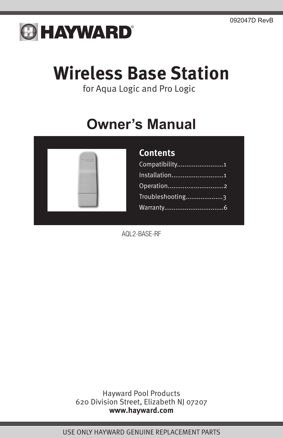# **HAYWARD®**

## **Wireless Base Station**

for Aqua Logic and Pro Logic

## **Owner's Manual**



#### **Contents**

| Compatibility1   |
|------------------|
|                  |
| Operation2       |
| Troubleshooting3 |
|                  |

AQL2-BASE-RF

Hayward Pool Products 620 Division Street, Elizabeth NJ 07207 **www.hayward.com**

USE ONLY HAYWARD GENUINE REPLACEMENT PARTS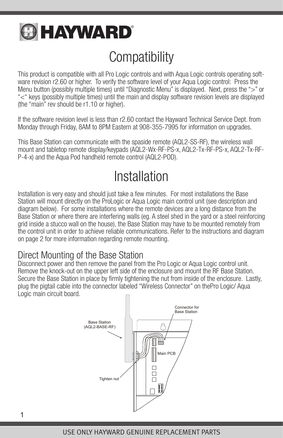# **A HAYWARD**

## **Compatibility**

This product is compatible with all Pro Logic controls and with Aqua Logic controls operating software revision r2.60 or higher. To verify the software level of your Aqua Logic control: Press the Menu button (possibly multiple times) until "Diagnostic Menu" is displayed. Next, press the ">" or "<" keys (possibly multiple times) until the main and display software revision levels are displayed (the "main" rev should be r1.10 or higher).

If the software revision level is less than r2.60 contact the Hayward Technical Service Dept. from Monday through Friday, 8AM to 8PM Eastern at 908-355-7995 for information on upgrades.

This Base Station can communicate with the spaside remote (AQL2-SS-RF), the wireless wall mount and tabletop remote display/keypads (AQL2-Wx-RF-PS-x, AQL2-Tx-RF-PS-x, AQL2-Tx-RF-P-4-x) and the Aqua Pod handheld remote control (AQL2-POD).

## Installation

Installation is very easy and should just take a few minutes. For most installations the Base Station will mount directly on the ProLogic or Aqua Logic main control unit (see description and diagram below). For some installations where the remote devices are a long distance from the Base Station or where there are interfering walls (eg. A steel shed in the yard or a steel reinforcing grid inside a stucco wall on the house), the Base Station may have to be mounted remotely from the control unit in order to achieve reliable communications. Refer to the instructions and diagram on page 2 for more information regarding remote mounting.

### Direct Mounting of the Base Station

Disconnect power and then remove the panel from the Pro Logic or Aqua Logic control unit. Remove the knock-out on the upper left side of the enclosure and mount the RF Base Station. Secure the Base Station in place by firmly tightening the nut from inside of the enclosure. Lastly, plug the pigtail cable into the connector labeled "Wireless Connector" on thePro Logic/ Aqua Logic main circuit board.

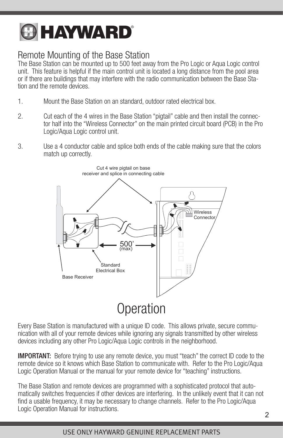

### Remote Mounting of the Base Station

The Base Station can be mounted up to 500 feet away from the Pro Logic or Aqua Logic control unit. This feature is helpful if the main control unit is located a long distance from the pool area or if there are buildings that may interfere with the radio communication between the Base Station and the remote devices.

- 1. Mount the Base Station on an standard, outdoor rated electrical box.
- 2. Cut each of the 4 wires in the Base Station "pigtail" cable and then install the connector half into the "Wireless Connector" on the main printed circuit board (PCB) in the Pro Logic/Aqua Logic control unit.
- 3. Use a 4 conductor cable and splice both ends of the cable making sure that the colors match up correctly.



Every Base Station is manufactured with a unique ID code. This allows private, secure communication with all of your remote devices while ignoring any signals transmitted by other wireless devices including any other Pro Logic/Aqua Logic controls in the neighborhood.

**IMPORTANT:** Before trying to use any remote device, you must "teach" the correct ID code to the remote device so it knows which Base Station to communicate with. Refer to the Pro Logic/Aqua Logic Operation Manual or the manual for your remote device for "teaching" instructions.

The Base Station and remote devices are programmed with a sophisticated protocol that automatically switches frequencies if other devices are interfering. In the unlikely event that it can not find a usable frequency, it may be necessary to change channels. Refer to the Pro Logic/Aqua Logic Operation Manual for instructions.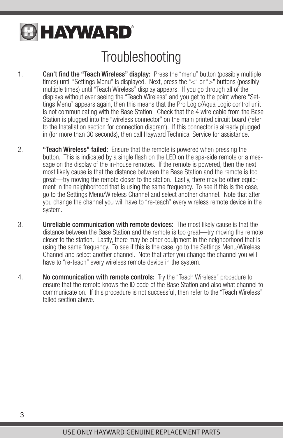# **A HAYWARD**

## **Troubleshooting**

- 1. **Can't find the "Teach Wireless" display:** Press the "menu" button (possibly multiple times) until "Settings Menu" is displayed. Next, press the "<" or ">" buttons (possibly multiple times) until "Teach Wireless" display appears. If you go through all of the displays without ever seeing the "Teach Wireless" and you get to the point where "Settings Menu" appears again, then this means that the Pro Logic/Aqua Logic control unit is not communicating with the Base Station. Check that the 4 wire cable from the Base Station is plugged into the "wireless connector" on the main printed circuit board (refer to the Installation section for connection diagram). If this connector is already plugged in (for more than 30 seconds), then call Hayward Technical Service for assistance.
- 2. **"Teach Wireless" failed:** Ensure that the remote is powered when pressing the button. This is indicated by a single flash on the LED on the spa-side remote or a message on the display of the in-house remotes. If the remote is powered, then the next most likely cause is that the distance between the Base Station and the remote is too great—try moving the remote closer to the station. Lastly, there may be other equipment in the neighborhood that is using the same frequency. To see if this is the case, go to the Settings Menu/Wireless Channel and select another channel. Note that after you change the channel you will have to "re-teach" every wireless remote device in the system.
- 3. Unreliable communication with remote devices: The most likely cause is that the distance between the Base Station and the remote is too great—try moving the remote closer to the station. Lastly, there may be other equipment in the neighborhood that is using the same frequency. To see if this is the case, go to the Settings Menu/Wireless Channel and select another channel. Note that after you change the channel you will have to "re-teach" every wireless remote device in the system.
- 4. No communication with remote controls: Try the "Teach Wireless" procedure to ensure that the remote knows the ID code of the Base Station and also what channel to communicate on. If this procedure is not successful, then refer to the "Teach Wireless" failed section above.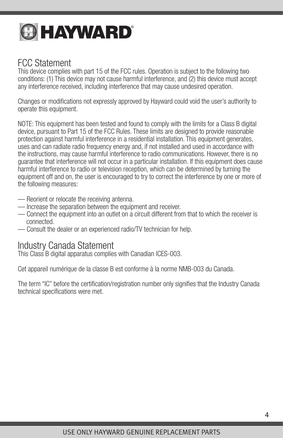

#### FCC Statement

This device complies with part 15 of the FCC rules. Operation is subject to the following two conditions: (1) This device may not cause harmful interference, and (2) this device must accept any interference received, including interference that may cause undesired operation.

Changes or modifications not expressly approved by Hayward could void the user's authority to operate this equipment.

NOTE: This equipment has been tested and found to comply with the limits for a Class B digital device, pursuant to Part 15 of the FCC Rules. These limits are designed to provide reasonable protection against harmful interference in a residential installation. This equipment generates, uses and can radiate radio frequency energy and, if not installed and used in accordance with the instructions, may cause harmful interference to radio communications. However, there is no guarantee that interference will not occur in a particular installation. If this equipment does cause harmful interference to radio or television reception, which can be determined by turning the equipment off and on, the user is encouraged to try to correct the interference by one or more of the following measures:

- Reorient or relocate the receiving antenna.
- Increase the separation between the equipment and receiver.
- Connect the equipment into an outlet on a circuit different from that to which the receiver is connected.
- Consult the dealer or an experienced radio/TV technician for help.

#### Industry Canada Statement

This Class B digital apparatus complies with Canadian ICES-003.

Cet appareil numérique de la classe B est conforme à la norme NMB-003 du Canada.

The term "IC" before the certification/registration number only signifies that the Industry Canada technical specifications were met.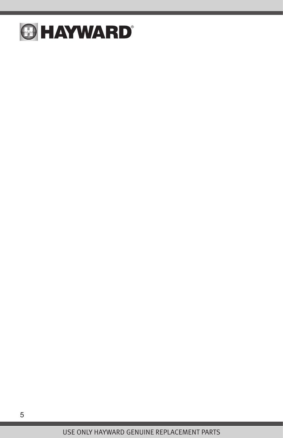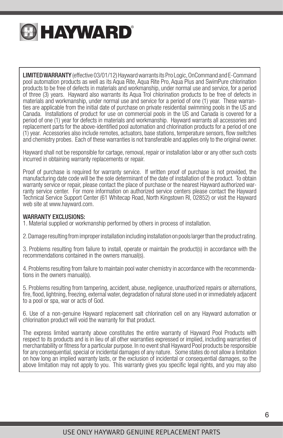

LIMITED WARRANTY (effective 03/01/12) Hayward warrants its Pro Logic, OnCommand and E-Command pool automation products as well as its Aqua Rite, Aqua Rite Pro, Aqua Plus and SwimPure chlorination products to be free of defects in materials and workmanship, under normal use and service, for a period of three (3) years. Hayward also warrants its Aqua Trol chlorination products to be free of defects in materials and workmanship, under normal use and service for a period of one (1) year. These warranties are applicable from the initial date of purchase on private residential swimming pools in the US and Canada. Installations of product for use on commercial pools in the US and Canada is covered for a period of one (1) year for defects in materials and workmanship. Hayward warrants all accessories and replacement parts for the above-identified pool automation and chlorination products for a period of one (1) year. Accessories also include remotes, actuators, base stations, temperature sensors, flow switches and chemistry probes. Each of these warranties is not transferable and applies only to the original owner.

Hayward shall not be responsible for cartage, removal, repair or installation labor or any other such costs incurred in obtaining warranty replacements or repair.

Proof of purchase is required for warranty service. If written proof of purchase is not provided, the manufacturing date code will be the sole determinant of the date of installation of the product. To obtain warranty service or repair, please contact the place of purchase or the nearest Hayward authorized warranty service center. For more information on authorized service centers please contact the Hayward Technical Service Support Center (61 Whitecap Road, North Kingstown RI, 02852) or visit the Hayward web site at www.hayward.com.

#### WARRANTY EXCLUSIONS:

1. Material supplied or workmanship performed by others in process of installation.

2. Damage resulting from improper installation including installation on pools larger than the product rating.

3. Problems resulting from failure to install, operate or maintain the product(s) in accordance with the recommendations contained in the owners manual(s).

4. Problems resulting from failure to maintain pool water chemistry in accordance with the recommendations in the owners manual(s).

5. Problems resulting from tampering, accident, abuse, negligence, unauthorized repairs or alternations, fire, flood, lightning, freezing, external water, degradation of natural stone used in or immediately adjacent to a pool or spa, war or acts of God.

6. Use of a non-genuine Hayward replacement salt chlorination cell on any Hayward automation or chlorination product will void the warranty for that product.

The express limited warranty above constitutes the entire warranty of Hayward Pool Products with respect to its products and is in lieu of all other warranties expressed or implied, including warranties of merchantability or fitness for a particular purpose. In no event shall Hayward Pool products be responsible for any consequential, special or incidental damages of any nature. Some states do not allow a limitation on how long an implied warranty lasts, or the exclusion of incidental or consequential damages, so the above limitation may not apply to you. This warranty gives you specific legal rights, and you may also